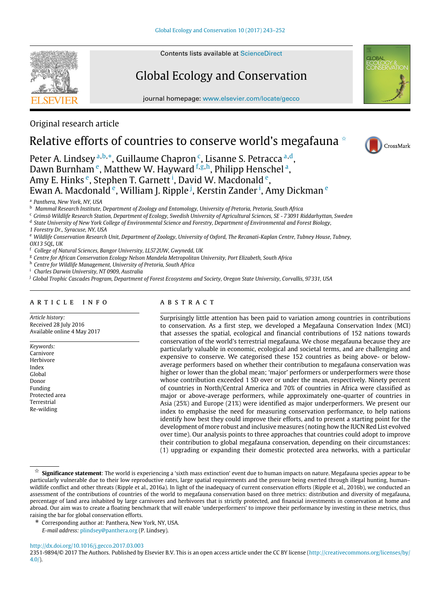Contents lists available at [ScienceDirect](http://www.elsevier.com/locate/gecco)

# Global Ecology and Conservation

journal homepage: [www.elsevier.com/locate/gecco](http://www.elsevier.com/locate/gecco)

Original research article

# Relative efforts of countries to conserve world's megafauna  $*$



Peter A. Lindsey <sup>[a,](#page-0-1)[b,](#page-0-2)[\\*](#page-0-3)</sup>, Guillaume Chapron <sup>[c](#page-0-4)</sup>, Lisanne S. Petracca <sup>a,[d](#page-0-5)</sup>, Dawn Burnham <sup>[e](#page-0-6)</sup>, Matthew W. Hayward <sup>[f,](#page-0-7)[g,](#page-0-8)[h](#page-0-9)</sup>, Philipp Henschel <sup>[a](#page-0-1)</sup>, Amy E. Hinks <sup>[e](#page-0-6)</sup>, Stephen T. Garnett <sup>[i](#page-0-10)</sup>, David W. Macdonald <sup>e</sup>, Ewan A. Macdonald <sup>[e](#page-0-6)</sup>, William J. Ripple <sup>[j](#page-0-11)</sup>, Kerst[i](#page-0-10)n Zander <sup>i</sup>, Amy Dickman <sup>e</sup>

<span id="page-0-1"></span>a *Panthera, New York, NY, USA*

<span id="page-0-2"></span><sup>b</sup> *Mammal Research Institute, Department of Zoology and Entomology, University of Pretoria, Pretoria, South Africa*

<span id="page-0-4"></span><sup>c</sup> *Grimsö Wildlife Research Station, Department of Ecology, Swedish University of Agricultural Sciences, SE - 73091 Riddarhyttan, Sweden*

<span id="page-0-5"></span>d *State University of New York College of Environmental Science and Forestry, Department of Environmental and Forest Biology,*

*1 Forestry Dr., Syracuse, NY, USA*

<span id="page-0-6"></span><sup>e</sup> *Wildlife Conservation Research Unit, Department of Zoology, University of Oxford, The Recanati-Kaplan Centre, Tubney House, Tubney, OX13 5QL, UK*

<span id="page-0-7"></span><sup>f</sup> *College of Natural Sciences, Bangor University, LL572UW, Gwynedd, UK*

<span id="page-0-8"></span><sup>g</sup> *Centre for African Conservation Ecology Nelson Mandela Metropolitan University, Port Elizabeth, South Africa*

<span id="page-0-9"></span><sup>h</sup> *Centre for Wildlife Management, University of Pretoria, South Africa*

<span id="page-0-10"></span><sup>i</sup> *Charles Darwin University, NT 0909, Australia*

<span id="page-0-11"></span><sup>j</sup> *Global Trophic Cascades Program, Department of Forest Ecosystems and Society, Oregon State University, Corvallis, 97331, USA*

## a r t i c l e i n f o

*Article history:* Received 28 July 2016 Available online 4 May 2017

*Keywords:* Carnivore Herbivore Index Global Donor Funding Protected area Terrestrial Re-wilding

# A B S T R A C T

Surprisingly little attention has been paid to variation among countries in contributions to conservation. As a first step, we developed a Megafauna Conservation Index (MCI) that assesses the spatial, ecological and financial contributions of 152 nations towards conservation of the world's terrestrial megafauna. We chose megafauna because they are particularly valuable in economic, ecological and societal terms, and are challenging and expensive to conserve. We categorised these 152 countries as being above- or belowaverage performers based on whether their contribution to megafauna conservation was higher or lower than the global mean; 'major' performers or underperformers were those whose contribution exceeded 1 SD over or under the mean, respectively. Ninety percent of countries in North/Central America and 70% of countries in Africa were classified as major or above-average performers, while approximately one-quarter of countries in Asia (25%) and Europe (21%) were identified as major underperformers. We present our index to emphasise the need for measuring conservation performance, to help nations identify how best they could improve their efforts, and to present a starting point for the development of more robust and inclusive measures (noting how the IUCN Red List evolved over time). Our analysis points to three approaches that countries could adopt to improve their contribution to global megafauna conservation, depending on their circumstances: (1) upgrading or expanding their domestic protected area networks, with a particular

<span id="page-0-0"></span>✩ **Significance statement**: The world is experiencing a 'sixth mass extinction' event due to human impacts on nature. Megafauna species appear to be particularly vulnerable due to their low reproductive rates, large spatial requirements and the pressure being exerted through illegal hunting, human– wildlife conflict and other threats (Ripple et al., 2016a). In light of the inadequacy of current conservation efforts (Ripple et al., 2016b), we conducted an assessment of the contributions of countries of the world to megafauna conservation based on three metrics: distribution and diversity of megafauna, percentage of land area inhabited by large carnivores and herbivores that is strictly protected, and financial investments in conservation at home and abroad. Our aim was to create a floating benchmark that will enable 'underperformers' to improve their performance by investing in these metrics, thus raising the bar for global conservation efforts.

<span id="page-0-3"></span>\* Corresponding author at: Panthera, New York, NY, USA.

*E-mail address:* [plindsey@panthera.org](mailto:plindsey@panthera.org) (P. Lindsey).

<http://dx.doi.org/10.1016/j.gecco.2017.03.003>

2351-9894/© 2017 The Authors. Published by Elsevier B.V. This is an open access article under the CC BY license [\(http://creativecommons.org/licenses/by/](http://creativecommons.org/licenses/by/4.0/) [4.0/\)](http://creativecommons.org/licenses/by/4.0/).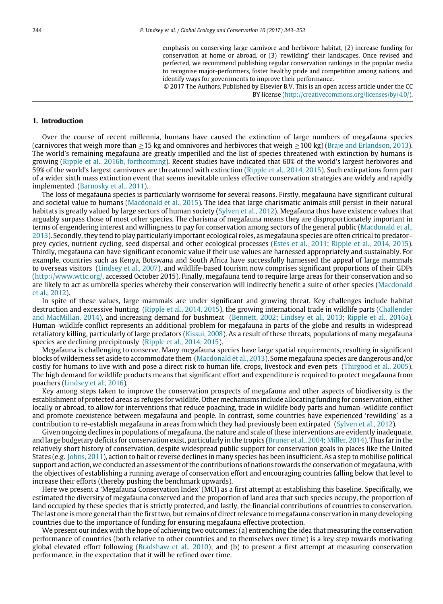emphasis on conserving large carnivore and herbivore habitat, (2) increase funding for conservation at home or abroad, or (3) 'rewilding' their landscapes. Once revised and perfected, we recommend publishing regular conservation rankings in the popular media to recognise major-performers, foster healthy pride and competition among nations, and identify ways for governments to improve their performance.

© 2017 The Authors. Published by Elsevier B.V. This is an open access article under the CC BY license [\(http://creativecommons.org/licenses/by/4.0/\)](http://creativecommons.org/licenses/by/4.0/).

#### **1. Introduction**

Over the course of recent millennia, humans have caused the extinction of large numbers of megafauna species (carnivores that weigh more than ≥15 kg and omnivores and herbivores that weigh ≥100 kg) [\(Braje](#page-8-0) [and](#page-8-0) [Erlandson,](#page-8-0) [2013\)](#page-8-0). The world's remaining megafauna are greatly imperilled and the list of species threatened with extinction by humans is growing [\(Ripple](#page-9-0) [et](#page-9-0) [al.,](#page-9-0) [2016b,](#page-9-0) [forthcoming\)](#page-9-0). Recent studies have indicated that 60% of the world's largest herbivores and 59% of the world's largest carnivores are threatened with extinction [\(Ripple](#page-9-1) [et](#page-9-1) [al.,](#page-9-1) [2014,](#page-9-1) [2015\)](#page-9-1). Such extirpations form part of a wider sixth mass extinction event that seems inevitable unless effective conservation strategies are widely and rapidly implemented [\(Barnosky](#page-8-1) [et](#page-8-1) [al.,](#page-8-1) [2011\)](#page-8-1).

The loss of megafauna species is particularly worrisome for several reasons. Firstly, megafauna have significant cultural and societal value to humans [\(Macdonald](#page-9-2) [et](#page-9-2) [al.,](#page-9-2) [2015\)](#page-9-2). The idea that large charismatic animals still persist in their natural habitats is greatly valued by large sectors of human society [\(Sylven](#page-9-3) [et](#page-9-3) [al.,](#page-9-3) [2012\)](#page-9-3). Megafauna thus have existence values that arguably surpass those of most other species. The charisma of megafauna means they are disproportionately important in terms of engendering interest and willingness to pay for conservation among sectors of the general public [\(Macdonald](#page-9-4) [et](#page-9-4) [al.,](#page-9-4) [2013\)](#page-9-4). Secondly, they tend to play particularly important ecological roles, as megafauna species are often critical to predator– prey cycles, nutrient cycling, seed dispersal and other ecological processes [\(Estes](#page-8-2) [et](#page-8-2) [al.,](#page-8-2) [2011;](#page-8-2) [Ripple](#page-9-1) [et](#page-9-1) [al.,](#page-9-1) [2014,](#page-9-1) [2015\)](#page-9-1). Thirdly, megafauna can have significant economic value if their use values are harnessed appropriately and sustainably. For example, countries such as Kenya, Botswana and South Africa have successfully harnessed the appeal of large mammals to overseas visitors [\(Lindsey](#page-8-3) [et](#page-8-3) [al.,](#page-8-3) [2007\)](#page-8-3), and wildlife-based tourism now comprises significant proportions of their GDPs [\(http://www.wttc.org/,](http://www.wttc.org/) accessed October 2015). Finally, megafauna tend to require large areas for their conservation and so are likely to act as umbrella species whereby their conservation will indirectly benefit a suite of other species [\(Macdonald](#page-9-5) [et](#page-9-5) [al.,](#page-9-5) [2012\)](#page-9-5).

In spite of these values, large mammals are under significant and growing threat. Key challenges include habitat destruction and excessive hunting [\(Ripple](#page-9-1) [et](#page-9-1) [al.,](#page-9-1) [2014,](#page-9-1) [2015\)](#page-9-1), the growing international trade in wildlife parts [\(Challender](#page-8-4) [and](#page-8-4) [MacMillan,](#page-8-4) [2014\)](#page-8-4), and increasing demand for bushmeat [\(Bennett,](#page-8-5) [2002;](#page-8-5) [Lindsey](#page-8-6) [et](#page-8-6) [al.,](#page-8-6) [2013;](#page-8-6) [Ripple](#page-9-6) [et](#page-9-6) [al.,](#page-9-6) [2016a\)](#page-9-6). Human–wildlife conflict represents an additional problem for megafauna in parts of the globe and results in widespread retaliatory killing, particularly of large predators [\(Kissui,](#page-8-7) [2008\)](#page-8-7). As a result of these threats, populations of many megafauna species are declining precipitously [\(Ripple](#page-9-1) [et](#page-9-1) [al.,](#page-9-1) [2014,](#page-9-1) [2015\)](#page-9-1).

Megafauna is challenging to conserve. Many megafauna species have large spatial requirements, resulting in significant blocks of wilderness set aside to accommodate them [\(Macdonald](#page-9-4) [et](#page-9-4) [al.,](#page-9-4) [2013\)](#page-9-4). Some megafauna species are dangerous and/or costly for humans to live with and pose a direct risk to human life, crops, livestock and even pets [\(Thirgood](#page-9-7) [et](#page-9-7) [al.,](#page-9-7) [2005\)](#page-9-7). The high demand for wildlife products means that significant effort and expenditure is required to protect megafauna from poachers [\(Lindsey](#page-8-8) [et](#page-8-8) [al.,](#page-8-8) [2016\)](#page-8-8).

Key among steps taken to improve the conservation prospects of megafauna and other aspects of biodiversity is the establishment of protected areas as refuges for wildlife. Other mechanisms include allocating funding for conservation, either locally or abroad, to allow for interventions that reduce poaching, trade in wildlife body parts and human–wildlife conflict and promote coexistence between megafauna and people. In contrast, some countries have experienced 'rewilding' as a contribution to re-establish megafauna in areas from which they had previously been extirpated [\(Sylven](#page-9-3) [et](#page-9-3) [al.,](#page-9-3) [2012\)](#page-9-3).

Given ongoing declines in populations of megafauna, the nature and scale of these interventions are evidently inadequate, and large budgetary deficits for conservation exist, particularly in the tropics [\(Bruner](#page-8-9) [et](#page-8-9) [al.,](#page-8-9) [2004;](#page-8-9) [Miller,](#page-9-8) [2014\)](#page-9-8). Thus far in the relatively short history of conservation, despite widespread public support for conservation goals in places like the United States (e.g. [Johns,](#page-8-10) [2011\)](#page-8-10), action to halt or reverse declines in many species has been insufficient. As a step to mobilise political support and action, we conducted an assessment of the contributions of nations towards the conservation of megafauna, with the objectives of establishing a running average of conservation effort and encouraging countries falling below that level to increase their efforts (thereby pushing the benchmark upwards).

Here we present a 'Megafauna Conservation Index' (MCI) as a first attempt at establishing this baseline. Specifically, we estimated the diversity of megafauna conserved and the proportion of land area that such species occupy, the proportion of land occupied by these species that is strictly protected, and lastly, the financial contributions of countries to conservation. The last one is more general than the first two, but remains of direct relevance to megafauna conservation in many developing countries due to the importance of funding for ensuring megafauna effective protection.

We present our index with the hope of achieving two outcomes: (a) entrenching the idea that measuring the conservation performance of countries (both relative to other countries and to themselves over time) is a key step towards motivating global elevated effort following [\(Bradshaw](#page-8-11) [et](#page-8-11) [al.,](#page-8-11) [2010\)](#page-8-11); and (b) to present a first attempt at measuring conservation performance, in the expectation that it will be refined over time.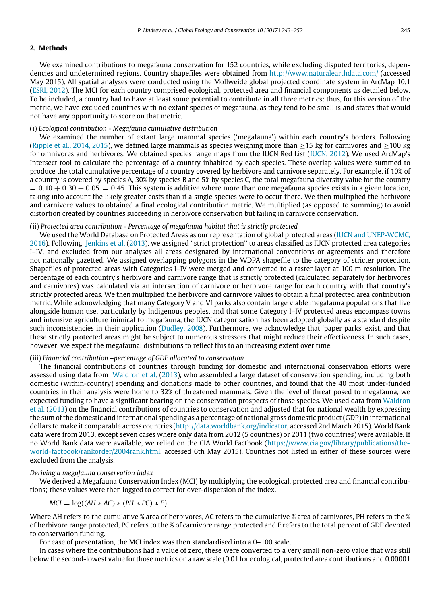## **2. Methods**

We examined contributions to megafauna conservation for 152 countries, while excluding disputed territories, dependencies and undetermined regions. Country shapefiles were obtained from <http://www.naturalearthdata.com/> (accessed May 2015). All spatial analyses were conducted using the Mollweide global projected coordinate system in ArcMap 10.1 [\(ESRI,](#page-8-12) [2012\)](#page-8-12). The MCI for each country comprised ecological, protected area and financial components as detailed below. To be included, a country had to have at least some potential to contribute in all three metrics: thus, for this version of the metric, we have excluded countries with no extant species of megafauna, as they tend to be small island states that would not have any opportunity to score on that metric.

# (i) *Ecological contribution - Megafauna cumulative distribution*

We examined the number of extant large mammal species ('megafauna') within each country's borders. Following [\(Ripple](#page-9-1) [et](#page-9-1) [al.,](#page-9-1) [2014,](#page-9-1) [2015\)](#page-9-1), we defined large mammals as species weighing more than  $\geq$ 15 kg for carnivores and  $\geq$ 100 kg for omnivores and herbivores. We obtained species range maps from the IUCN Red List [\(IUCN,](#page-8-13) [2012\)](#page-8-13). We used ArcMap's Intersect tool to calculate the percentage of a country inhabited by each species. These overlap values were summed to produce the total cumulative percentage of a country covered by herbivore and carnivore separately. For example, if 10% of a country is covered by species A, 30% by species B and 5% by species C, the total megafauna diversity value for the country  $= 0.10 + 0.30 + 0.05 = 0.45$ . This system is additive where more than one megafauna species exists in a given location, taking into account the likely greater costs than if a single species were to occur there. We then multiplied the herbivore and carnivore values to obtained a final ecological contribution metric. We multiplied (as opposed to summing) to avoid distortion created by countries succeeding in herbivore conservation but failing in carnivore conservation.

# (ii) *Protected area contribution - Percentage of megafauna habitat that is strictly protected*

We used the World Database on Protected Areas as our representation of global protected areas [\(IUCN](#page-8-14) [and](#page-8-14) [UNEP-WCMC,](#page-8-14) [2016\)](#page-8-14). Following [Jenkins](#page-8-15) [et](#page-8-15) [al.](#page-8-15) [\(2013\)](#page-8-15), we assigned "strict protection" to areas classified as IUCN protected area categories I–IV, and excluded from our analyses all areas designated by international conventions or agreements and therefore not nationally gazetted. We assigned overlapping polygons in the WDPA shapefile to the category of stricter protection. Shapefiles of protected areas with Categories I–IV were merged and converted to a raster layer at 100 m resolution. The percentage of each country's herbivore and carnivore range that is strictly protected (calculated separately for herbivores and carnivores) was calculated via an intersection of carnivore or herbivore range for each country with that country's strictly protected areas. We then multiplied the herbivore and carnivore values to obtain a final protected area contribution metric. While acknowledging that many Category V and VI parks also contain large viable megafauna populations that live alongside human use, particularly by Indigenous peoples, and that some Category I–IV protected areas encompass towns and intensive agriculture inimical to megafauna, the IUCN categorisation has been adopted globally as a standard despite such inconsistencies in their application [\(Dudley,](#page-8-16) [2008\)](#page-8-16). Furthermore, we acknowledge that 'paper parks' exist, and that these strictly protected areas might be subject to numerous stressors that might reduce their effectiveness. In such cases, however, we expect the megafaunal distributions to reflect this to an increasing extent over time.

#### (iii) *Financial contribution –percentage of GDP allocated to conservation*

The financial contributions of countries through funding for domestic and international conservation efforts were assessed using data from [Waldron](#page-9-9) [et](#page-9-9) [al.](#page-9-9) [\(2013\)](#page-9-9), who assembled a large dataset of conservation spending, including both domestic (within-country) spending and donations made to other countries, and found that the 40 most under-funded countries in their analysis were home to 32% of threatened mammals. Given the level of threat posed to megafauna, we expected funding to have a significant bearing on the conservation prospects of those species. We used data from [Waldron](#page-9-9) [et](#page-9-9) [al.](#page-9-9) [\(2013\)](#page-9-9) on the financial contributions of countries to conservation and adjusted that for national wealth by expressing the sum of the domestic and international spending as a percentage of national gross domestic product (GDP) in international dollars to make it comparable across countries [\(http://data.worldbank.org/indicator,](http://data.worldbank.org/indicator) accessed 2nd March 2015). World Bank data were from 2013, except seven cases where only data from 2012 (5 countries) or 2011 (two countries) were available. If [n](https://www.cia.gov/library/publications/the-world-factbook/rankorder/2004rank.html)o World Bank data were available, we relied on the CIA World Factbook [\(https://www.cia.gov/library/publications/the](https://www.cia.gov/library/publications/the-world-factbook/rankorder/2004rank.html)[world-factbook/rankorder/2004rank.html,](https://www.cia.gov/library/publications/the-world-factbook/rankorder/2004rank.html) accessed 6th May 2015). Countries not listed in either of these sources were excluded from the analysis.

#### *Deriving a megafauna conservation index*

We derived a Megafauna Conservation Index (MCI) by multiplying the ecological, protected area and financial contributions; these values were then logged to correct for over-dispersion of the index.

$$
MCI = \log((AH * AC) * (PH * PC) * F)
$$

Where AH refers to the cumulative % area of herbivores, AC refers to the cumulative % area of carnivores, PH refers to the % of herbivore range protected, PC refers to the % of carnivore range protected and F refers to the total percent of GDP devoted to conservation funding.

For ease of presentation, the MCI index was then standardised into a 0–100 scale.

In cases where the contributions had a value of zero, these were converted to a very small non-zero value that was still below the second-lowest value for those metrics on a raw scale (0.01 for ecological, protected area contributions and 0.00001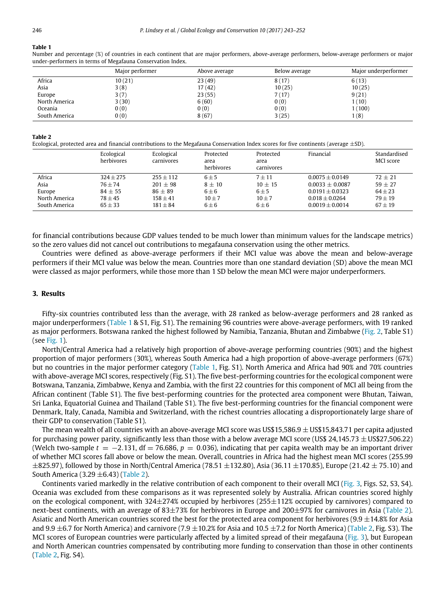#### <span id="page-3-0"></span>**Table 1**

Number and percentage (%) of countries in each continent that are major performers, above-average performers, below-average performers or major under-performers in terms of Megafauna Conservation Index.

|               | Major performer | Above average | Below average | Major underperformer |
|---------------|-----------------|---------------|---------------|----------------------|
| Africa        | 10(21)          | 23(49)        | 8(17)         | 6(13)                |
| Asia          | 3(8)            | 17 (42)       | 10(25)        | 10(25)               |
| Europe        | 3(7)            | 23(55)        | 7(17)         | 9(21)                |
| North America | 3(30)           | 6(60)         | 0(0)          | 1(10)                |
| Oceania       | 0(0)            | 0(0)          | 0(0)          | 1(100)               |
| South America | 0(0)            | 8(67)         | 3(25)         | 1(8)                 |

#### <span id="page-3-1"></span>**Table 2**

Ecological, protected area and financial contributions to the Megafauna Conservation Index scores for five continents (average  $\pm$ SD).

|               | Ecological<br>herbivores | Ecological<br>carnivores | Protected<br>area<br>herbivores | Protected<br>area<br>carnivores | Financial           | Standardised<br>MCI score |
|---------------|--------------------------|--------------------------|---------------------------------|---------------------------------|---------------------|---------------------------|
| Africa        | $324 + 275$              | $255 + 112$              | $6 + 5$                         | $7 + 11$                        | $0.0075 + 0.0149$   | $72 + 21$                 |
| Asia          | $76 + 74$                | $201 + 98$               | $8 + 10$                        | $10 \pm 15$                     | $0.0033 \pm 0.0087$ | $59 + 27$                 |
| Europe        | $84 + 55$                | $86 + 89$                | $6 \pm 6$                       | $6 + 5$                         | $0.0191 + 0.0323$   | $64 + 23$                 |
| North America | $78 + 45$                | $158 + 41$               | $10 + 7$                        | $10 + 7$                        | $0.018 + 0.0264$    | $79 + 19$                 |
| South America | $65 + 33$                | $181 + 84$               | $6 + 6$                         | $6 + 6$                         | $0.0019 + 0.0014$   | $67 + 19$                 |

for financial contributions because GDP values tended to be much lower than minimum values for the landscape metrics) so the zero values did not cancel out contributions to megafauna conservation using the other metrics.

Countries were defined as above-average performers if their MCI value was above the mean and below-average performers if their MCI value was below the mean. Countries more than one standard deviation (SD) above the mean MCI were classed as major performers, while those more than 1 SD below the mean MCI were major underperformers.

#### **3. Results**

Fifty-six countries contributed less than the average, with 28 ranked as below-average performers and 28 ranked as major underperformers [\(Table 1](#page-3-0) & S1, Fig. S1). The remaining 96 countries were above-average performers, with 19 ranked as major performers. Botswana ranked the highest followed by Namibia, Tanzania, Bhutan and Zimbabwe [\(Fig. 2,](#page-4-0) Table S1) (see [Fig. 1\)](#page-4-1).

North/Central America had a relatively high proportion of above-average performing countries (90%) and the highest proportion of major performers (30%), whereas South America had a high proportion of above-average performers (67%) but no countries in the major performer category [\(Table 1,](#page-3-0) Fig. S1). North America and Africa had 90% and 70% countries with above-average MCI scores, respectively (Fig. S1). The five best-performing countries for the ecological component were Botswana, Tanzania, Zimbabwe, Kenya and Zambia, with the first 22 countries for this component of MCI all being from the African continent (Table S1). The five best-performing countries for the protected area component were Bhutan, Taiwan, Sri Lanka, Equatorial Guinea and Thailand (Table S1). The five best-performing countries for the financial component were Denmark, Italy, Canada, Namibia and Switzerland, with the richest countries allocating a disproportionately large share of their GDP to conservation (Table S1).

The mean wealth of all countries with an above-average MCI score was US\$15,586.9  $\pm$  US\$15,843.71 per capita adjusted for purchasing power parity, significantly less than those with a below average MCI score (US\$ 24,145.73  $\pm$  US\$27,506.22) (Welch two-sample  $t = -2.131$ , df = 76.686,  $p = 0.036$ ), indicating that per capita wealth may be an important driver of whether MCI scores fall above or below the mean. Overall, countries in Africa had the highest mean MCI scores (255.99  $\pm$ 825.97), followed by those in North/Central America (78.51  $\pm$ 132.80), Asia (36.11  $\pm$ 170.85), Europe (21.42  $\pm$  75.10) and South America (3.29  $\pm$ 6.43) [\(Table 2\)](#page-3-1).

Continents varied markedly in the relative contribution of each component to their overall MCI [\(Fig. 3,](#page-5-0) Figs. S2, S3, S4). Oceania was excluded from these comparisons as it was represented solely by Australia. African countries scored highly on the ecological component, with  $324\pm274\%$  occupied by herbivores ( $255\pm112\%$  occupied by carnivores) compared to next-best continents, with an average of 83 $\pm$ 73% for herbivores in Europe and 200 $\pm$ 97% for carnivores in Asia [\(Table 2\)](#page-3-1). Asiatic and North American countries scored the best for the protected area component for herbivores (9.9  $\pm$ 14.8% for Asia and 9.9  $\pm$ 6.7 for North America) and carnivore (7.9  $\pm$ 10.2% for Asia and 10.5  $\pm$ 7.2 for North America) [\(Table 2,](#page-3-1) Fig. S3). The MCI scores of European countries were particularly affected by a limited spread of their megafauna [\(Fig. 3\)](#page-5-0), but European and North American countries compensated by contributing more funding to conservation than those in other continents [\(Table 2,](#page-3-1) Fig. S4).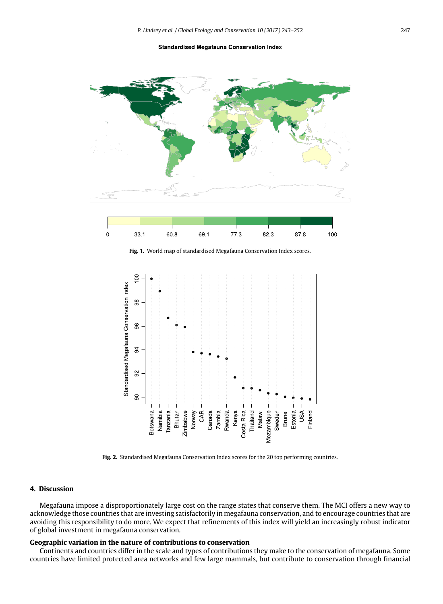**Standardised Megafauna Conservation Index** 

<span id="page-4-1"></span>

**Fig. 1.** World map of standardised Megafauna Conservation Index scores.

<span id="page-4-0"></span>

**Fig. 2.** Standardised Megafauna Conservation Index scores for the 20 top performing countries.

# **4. Discussion**

Megafauna impose a disproportionately large cost on the range states that conserve them. The MCI offers a new way to acknowledge those countries that are investing satisfactorily in megafauna conservation, and to encourage countries that are avoiding this responsibility to do more. We expect that refinements of this index will yield an increasingly robust indicator of global investment in megafauna conservation.

# **Geographic variation in the nature of contributions to conservation**

Continents and countries differ in the scale and types of contributions they make to the conservation of megafauna. Some countries have limited protected area networks and few large mammals, but contribute to conservation through financial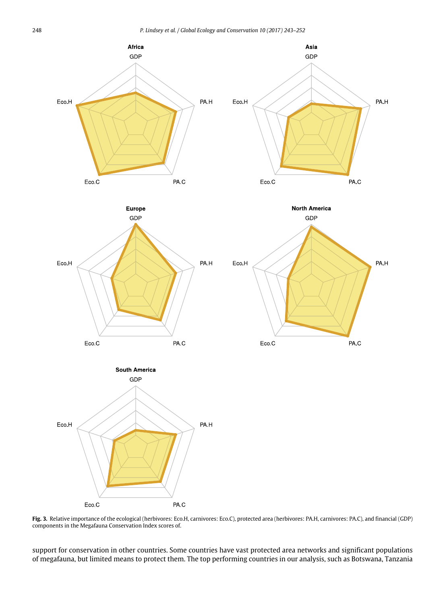<span id="page-5-0"></span>

**Fig. 3.** Relative importance of the ecological (herbivores: Eco.H, carnivores: Eco.C), protected area (herbivores: PA.H, carnivores: PA.C), and financial (GDP) components in the Megafauna Conservation Index scores of.

support for conservation in other countries. Some countries have vast protected area networks and significant populations of megafauna, but limited means to protect them. The top performing countries in our analysis, such as Botswana, Tanzania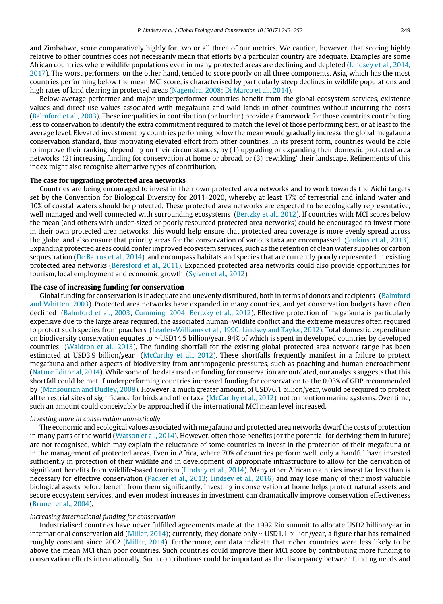and Zimbabwe, score comparatively highly for two or all three of our metrics. We caution, however, that scoring highly relative to other countries does not necessarily mean that efforts by a particular country are adequate. Examples are some African countries where wildlife populations even in many protected areas are declining and depleted [\(Lindsey](#page-9-10) [et](#page-9-10) [al.,](#page-9-10) [2014,](#page-9-10) [2017\)](#page-9-10). The worst performers, on the other hand, tended to score poorly on all three components. Asia, which has the most countries performing below the mean MCI score, is characterised by particularly steep declines in wildlife populations and high rates of land clearing in protected areas [\(Nagendra,](#page-9-11) [2008;](#page-9-11) [Di Marco](#page-8-17) [et](#page-8-17) [al.,](#page-8-17) [2014\)](#page-8-17).

Below-average performer and major underperformer countries benefit from the global ecosystem services, existence values and direct use values associated with megafauna and wild lands in other countries without incurring the costs [\(Balmford](#page-8-18) [et](#page-8-18) [al.,](#page-8-18) [2003\)](#page-8-18). These inequalities in contribution (or burden) provide a framework for those countries contributing less to conservation to identify the extra commitment required to match the level of those performing best, or at least to the average level. Elevated investment by countries performing below the mean would gradually increase the global megafauna conservation standard, thus motivating elevated effort from other countries. In its present form, countries would be able to improve their ranking, depending on their circumstances, by (1) upgrading or expanding their domestic protected area networks, (2) increasing funding for conservation at home or abroad, or (3) 'rewilding' their landscape. Refinements of this index might also recognise alternative types of contribution.

#### **The case for upgrading protected area networks**

Countries are being encouraged to invest in their own protected area networks and to work towards the Aichi targets set by the Convention for Biological Diversity for 2011–2020, whereby at least 17% of terrestrial and inland water and 10% of coastal waters should be protected. These protected area networks are expected to be ecologically representative, well managed and well connected with surrounding ecosystems [\(Bertzky](#page-8-19) [et](#page-8-19) [al.,](#page-8-19) [2012\)](#page-8-19). If countries with MCI scores below the mean (and others with under-sized or poorly resourced protected area networks) could be encouraged to invest more in their own protected area networks, this would help ensure that protected area coverage is more evenly spread across the globe, and also ensure that priority areas for the conservation of various taxa are encompassed [\(Jenkins](#page-8-15) [et](#page-8-15) [al.,](#page-8-15) [2013\)](#page-8-15). Expanding protected areas could confer improved ecosystem services, such as the retention of clean water supplies or carbon sequestration [\(De Barros](#page-8-20) [et](#page-8-20) [al.,](#page-8-20) [2014\)](#page-8-20), and encompass habitats and species that are currently poorly represented in existing protected area networks [\(Beresford](#page-8-21) [et](#page-8-21) [al.,](#page-8-21) [2011\)](#page-8-21). Expanded protected area networks could also provide opportunities for tourism, local employment and economic growth [\(Sylven](#page-9-3) [et](#page-9-3) [al.,](#page-9-3) [2012\)](#page-9-3).

#### **The case of increasing funding for conservation**

Global funding for conservation is inadequate and unevenly distributed, both in terms of donors and recipients *.*[\(Balmford](#page-8-22) [and](#page-8-22) [Whitten,](#page-8-22) [2003\)](#page-8-22). Protected area networks have expanded in many countries, and yet conservation budgets have often declined [\(Balmford](#page-8-18) [et](#page-8-19) [al.,](#page-8-19) [2003;](#page-8-18) [Cumming,](#page-8-23) [2004;](#page-8-23) [Bertzky](#page-8-19) et al., [2012\)](#page-8-19). Effective protection of megafauna is particularly expensive due to the large areas required, the associated human–wildlife conflict and the extreme measures often required to protect such species from poachers [\(Leader-Williams](#page-8-24) [et](#page-8-24) [al.,](#page-8-24) [1990;](#page-8-24) [Lindsey](#page-9-12) [and](#page-9-12) [Taylor,](#page-9-12) [2012\)](#page-9-12). Total domestic expenditure on biodiversity conservation equates to ∼USD14.5 billion/year, 94% of which is spent in developed countries by developed countries [\(Waldron](#page-9-9) [et](#page-9-9) [al.,](#page-9-9) [2013\)](#page-9-9). The funding shortfall for the existing global protected area network range has been estimated at USD3.9 billion/year [\(McCarthy](#page-9-13) [et](#page-9-13) [al.,](#page-9-13) [2012\)](#page-9-13). These shortfalls frequently manifest in a failure to protect megafauna and other aspects of biodiversity from anthropogenic pressures, such as poaching and human encroachment [\(Nature](#page-9-14) [Editorial,](#page-9-14) [2014\)](#page-9-14). While some of the data used on funding for conservation are outdated, our analysis suggests that this shortfall could be met if underperforming countries increased funding for conservation to the 0.03% of GDP recommended by [\(Mansourian](#page-9-15) [and](#page-9-15) [Dudley,](#page-9-15) [2008\)](#page-9-15). However, a much greater amount, of USD76.1 billion/year, would be required to protect all terrestrial sites of significance for birds and other taxa [\(McCarthy](#page-9-13) [et](#page-9-13) [al.,](#page-9-13) [2012\)](#page-9-13), not to mention marine systems. Over time, such an amount could conceivably be approached if the international MCI mean level increased.

# *Investing more in conservation domestically*

The economic and ecological values associated with megafauna and protected area networks dwarf the costs of protection in many parts of the world [\(Watson](#page-9-16) [et](#page-9-16) [al.,](#page-9-16) [2014\)](#page-9-16). However, often those benefits (or the potential for deriving them in future) are not recognised, which may explain the reluctance of some countries to invest in the protection of their megafauna or in the management of protected areas. Even in Africa, where 70% of countries perform well, only a handful have invested sufficiently in protection of their wildlife and in development of appropriate infrastructure to allow for the derivation of significant benefits from wildlife-based tourism [\(Lindsey](#page-9-10) [et](#page-9-10) [al.,](#page-9-10) [2014\)](#page-9-10). Many other African countries invest far less than is necessary for effective conservation [\(Packer](#page-9-17) [et](#page-9-17) [al.,](#page-9-17) [2013;](#page-9-17) [Lindsey](#page-8-8) [et](#page-8-8) [al.,](#page-8-8) [2016\)](#page-8-8) and may lose many of their most valuable biological assets before benefit from them significantly. Investing in conservation at home helps protect natural assets and secure ecosystem services, and even modest increases in investment can dramatically improve conservation effectiveness [\(Bruner](#page-8-9) [et](#page-8-9) [al.,](#page-8-9) [2004\)](#page-8-9).

#### *Increasing international funding for conservation*

Industrialised countries have never fulfilled agreements made at the 1992 Rio summit to allocate USD2 billion/year in international conservation aid [\(Miller,](#page-9-8) [2014\)](#page-9-8); currently, they donate only ∼USD1.1 billion/year, a figure that has remained roughly constant since 2002 [\(Miller,](#page-9-8) [2014\)](#page-9-8). Furthermore, our data indicate that richer countries were less likely to be above the mean MCI than poor countries. Such countries could improve their MCI score by contributing more funding to conservation efforts internationally. Such contributions could be important as the discrepancy between funding needs and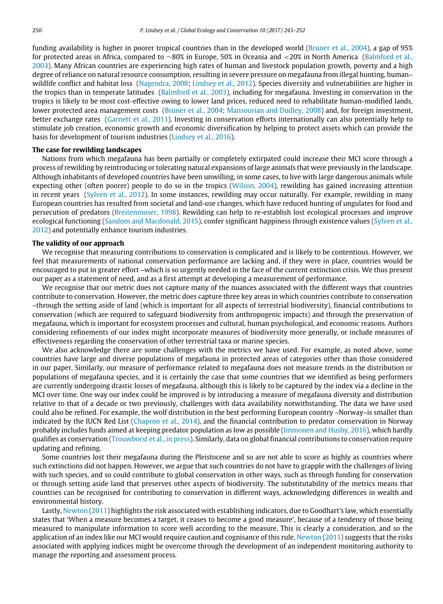funding availability is higher in poorer tropical countries than in the developed world [\(Bruner](#page-8-9) [et](#page-8-9) [al.,](#page-8-9) [2004\)](#page-8-9), a gap of 95% for protected areas in Africa, compared to ∼80% in Europe, 50% in Oceania and <20% in North America [\(Balmford](#page-8-18) [et](#page-8-18) [al.,](#page-8-18) [2003\)](#page-8-18). Many African countries are experiencing high rates of human and livestock population growth, poverty and a high degree of reliance on natural resource consumption, resulting in severe pressure on megafauna from illegal hunting, human– wildlife conflict and habitat loss [\(Nagendra,](#page-9-11) [2008;](#page-9-11) [Lindsey](#page-8-25) [et](#page-8-25) [al.,](#page-8-25) [2012\)](#page-8-25). Species diversity and vulnerabilities are higher in the tropics than in temperate latitudes [\(Balmford](#page-8-18) [et](#page-8-18) [al.,](#page-8-18) [2003\)](#page-8-18), including for megafauna. Investing in conservation in the tropics is likely to be most cost-effective owing to lower land prices, reduced need to rehabilitate human-modified lands, lower protected area management costs [\(Bruner](#page-8-9) [et](#page-8-9) [al.,](#page-8-9) [2004;](#page-8-9) [Mansourian](#page-8-16) [and](#page-8-16) [Dudley,](#page-8-16) [2008\)](#page-8-16) and, for foreign investment, better exchange rates [\(Garnett](#page-8-26) [et](#page-8-26) [al.,](#page-8-26) [2011\)](#page-8-26). Investing in conservation efforts internationally can also potentially help to stimulate job creation, economic growth and economic diversification by helping to protect assets which can provide the basis for development of tourism industries [\(Lindsey](#page-8-8) [et](#page-8-8) [al.,](#page-8-8) [2016\)](#page-8-8).

### **The case for rewilding landscapes**

Nations from which megafauna has been partially or completely extirpated could increase their MCI score through a process of rewilding by reintroducing or tolerating natural expansions of large animals that were previously in the landscape. Although inhabitants of developed countries have been unwilling, in some cases, to live with large dangerous animals while expecting other (often poorer) people to do so in the tropics [\(Wilson,](#page-9-18) [2004\)](#page-9-18), rewilding has gained increasing attention in recent years [\(Sylven](#page-9-3) [et](#page-9-3) [al.,](#page-9-3) [2012\)](#page-9-3). In some instances, rewilding may occur naturally. For example, rewilding in many European countries has resulted from societal and land-use changes, which have reduced hunting of ungulates for food and persecution of predators [\(Breitenmoser,](#page-8-27) [1998\)](#page-8-27). Rewilding can help to re-establish lost ecological processes and improve ecological functioning [\(Sandom](#page-9-19) [and](#page-9-19) [Macdonald,](#page-9-19) [2015\)](#page-9-19), confer significant happiness through existence values [\(Sylven](#page-9-3) [et](#page-9-3) [al.,](#page-9-3) [2012\)](#page-9-3) and potentially enhance tourism industries.

#### **The validity of our approach**

We recognise that measuring contributions to conservation is complicated and is likely to be contentious. However, we feel that measurements of national conservation performance are lacking and, if they were in place, countries would be encouraged to put in greater effort –which is so urgently needed in the face of the current extinction crisis. We thus present our paper as a statement of need, and as a first attempt at developing a measurement of performance.

We recognise that our metric does not capture many of the nuances associated with the different ways that countries contribute to conservation. However, the metric does capture three key areas in which countries contribute to conservation –through the setting aside of land (which is important for all aspects of terrestrial biodiversity), financial contributions to conservation (which are required to safeguard biodiversity from anthropogenic impacts) and through the preservation of megafauna, which is important for ecosystem processes and cultural, human psychological, and economic reasons. Authors considering refinements of our index might incorporate measures of biodiversity more generally, or include measures of effectiveness regarding the conservation of other terrestrial taxa or marine species.

We also acknowledge there are some challenges with the metrics we have used. For example, as noted above, some countries have large and diverse populations of megafauna in protected areas of categories other than those considered in our paper. Similarly, our measure of performance related to megafauna does not measure trends in the distribution or populations of megafauna species, and it is certainly the case that some countries that we identified as being performers are currently undergoing drastic losses of megafauna, although this is likely to be captured by the index via a decline in the MCI over time. One way our index could be improved is by introducing a measure of megafauna diversity and distribution relative to that of a decade or two previously, challenges with data availability notwithstanding. The data we have used could also be refined. For example, the wolf distribution in the best performing European country –Norway–is smaller than indicated by the IUCN Red List [\(Chapron](#page-8-28) [et](#page-8-28) [al.,](#page-8-28) [2014\)](#page-8-28), and the financial contribution to predator conservation in Norway probably includes funds aimed at keeping predator population as low as possible [\(Immonen](#page-8-29) [and](#page-8-29) [Husby,](#page-8-29) [2016\)](#page-8-29), which hardly qualifies as conservation [\(Trouwborst](#page-9-20) [et](#page-9-20) [al.,](#page-9-20) [in](#page-9-20) [press\)](#page-9-20). Similarly, data on global financial contributions to conservation require updating and refining.

Some countries lost their megafauna during the Pleistocene and so are not able to score as highly as countries where such extinctions did not happen. However, we argue that such countries do not have to grapple with the challenges of living with such species, and so could contribute to global conservation in other ways, such as through funding for conservation or through setting aside land that preserves other aspects of biodiversity. The substitutability of the metrics means that countries can be recognised for contributing to conservation in different ways, acknowledging differences in wealth and environmental history.

Lastly, [Newton](#page-9-21) [\(2011\)](#page-9-21) highlights the risk associated with establishing indicators, due to Goodhart's law, which essentially states that 'When a measure becomes a target, it ceases to become a good measure', because of a tendency of those being measured to manipulate information to score well according to the measure. This is clearly a consideration, and so the application of an index like our MCI would require caution and cognisance of this rule. [Newton](#page-9-21) [\(2011\)](#page-9-21) suggests that the risks associated with applying indices might be overcome through the development of an independent monitoring authority to manage the reporting and assessment process.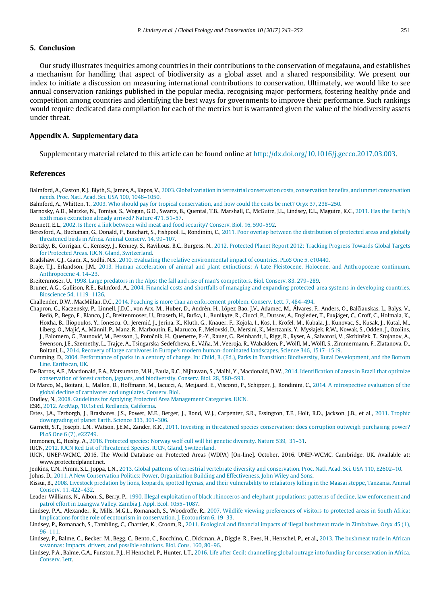## **5. Conclusion**

Our study illustrates inequities among countries in their contributions to the conservation of megafauna, and establishes a mechanism for handling that aspect of biodiversity as a global asset and a shared responsibility. We present our index to initiate a discussion on measuring international contributions to conservation. Ultimately, we would like to see annual conservation rankings published in the popular media, recognising major-performers, fostering healthy pride and competition among countries and identifying the best ways for governments to improve their performance. Such rankings would require dedicated data compilation for each of the metrics but is warranted given the value of the biodiversity assets under threat.

# **Appendix A. Supplementary data**

Supplementary material related to this article can be found online at [http://dx.doi.org/10.1016/j.gecco.2017.03.003.](http://dx.doi.org/10.1016/j.gecco.2017.03.003)

# **References**

<span id="page-8-18"></span>[B](http://refhub.elsevier.com/S2351-9894(16)30080-4/sb1)almford, A., Gaston, K.J., Blyth, S., James, A., Kapos, V., [2003.](http://refhub.elsevier.com/S2351-9894(16)30080-4/sb1) [Global variation in terrestrial conservation costs, conservation benefits, and unmet conservation](http://refhub.elsevier.com/S2351-9894(16)30080-4/sb1) [needs.](http://refhub.elsevier.com/S2351-9894(16)30080-4/sb1) [Proc. Natl. Acad. Sci. USA](http://refhub.elsevier.com/S2351-9894(16)30080-4/sb1) [100,](http://refhub.elsevier.com/S2351-9894(16)30080-4/sb1) [1046–1050.](http://refhub.elsevier.com/S2351-9894(16)30080-4/sb1)

<span id="page-8-22"></span>Balmford, A., Whitten, T., [2003.](http://refhub.elsevier.com/S2351-9894(16)30080-4/sb2) [Who should pay for tropical conservation, and how could the costs be met?](http://refhub.elsevier.com/S2351-9894(16)30080-4/sb2) [Oryx](http://refhub.elsevier.com/S2351-9894(16)30080-4/sb2) [37,](http://refhub.elsevier.com/S2351-9894(16)30080-4/sb2) [238–250.](http://refhub.elsevier.com/S2351-9894(16)30080-4/sb2)

- <span id="page-8-1"></span>[B](http://refhub.elsevier.com/S2351-9894(16)30080-4/sb3)arnosky, A.D., Matzke, N., Tomiya, S., Wogan, G.O., Swartz, B., Quental, T.B., Marshall, C., McGuire, J.L., Lindsey, E.L., Maguire, K.C., [2011.](http://refhub.elsevier.com/S2351-9894(16)30080-4/sb3) [Has the Earth/'s](http://refhub.elsevier.com/S2351-9894(16)30080-4/sb3) [sixth mass extinction already arrived?](http://refhub.elsevier.com/S2351-9894(16)30080-4/sb3) [Nature](http://refhub.elsevier.com/S2351-9894(16)30080-4/sb3) [471,](http://refhub.elsevier.com/S2351-9894(16)30080-4/sb3) [51–57.](http://refhub.elsevier.com/S2351-9894(16)30080-4/sb3)
- <span id="page-8-5"></span>Bennett, E.L., [2002.](http://refhub.elsevier.com/S2351-9894(16)30080-4/sb4) [Is there a link between wild meat and food security?](http://refhub.elsevier.com/S2351-9894(16)30080-4/sb4) [Conserv. Biol.](http://refhub.elsevier.com/S2351-9894(16)30080-4/sb4) [16,](http://refhub.elsevier.com/S2351-9894(16)30080-4/sb4) [590–592.](http://refhub.elsevier.com/S2351-9894(16)30080-4/sb4)
- <span id="page-8-21"></span>[B](http://refhub.elsevier.com/S2351-9894(16)30080-4/sb5)eresford, A., Buchanan, G., Donald, P., Butchart, S., Fishpool, L., Rondinini, C., [2011.](http://refhub.elsevier.com/S2351-9894(16)30080-4/sb5) [Poor overlap between the distribution of protected areas and globally](http://refhub.elsevier.com/S2351-9894(16)30080-4/sb5) [threatened birds in Africa.](http://refhub.elsevier.com/S2351-9894(16)30080-4/sb5) [Animal Conserv.](http://refhub.elsevier.com/S2351-9894(16)30080-4/sb5) [14,](http://refhub.elsevier.com/S2351-9894(16)30080-4/sb5) [99–107.](http://refhub.elsevier.com/S2351-9894(16)30080-4/sb5)
- <span id="page-8-19"></span>[B](http://refhub.elsevier.com/S2351-9894(16)30080-4/sb6)ertzky, B., Corrigan, C., Kemsey, J., Kenney, S., Ravilious, B.C., Burgess, N., [2012.](http://refhub.elsevier.com/S2351-9894(16)30080-4/sb6) [Protected Planet Report 2012: Tracking Progress Towards Global Targets](http://refhub.elsevier.com/S2351-9894(16)30080-4/sb6) [for Protected Areas.](http://refhub.elsevier.com/S2351-9894(16)30080-4/sb6) [IUCN,](http://refhub.elsevier.com/S2351-9894(16)30080-4/sb6) [Gland, Switzerland.](http://refhub.elsevier.com/S2351-9894(16)30080-4/sb6)

<span id="page-8-11"></span>Bradshaw, C.J., Giam, X., Sodhi, N.S., [2010.](http://refhub.elsevier.com/S2351-9894(16)30080-4/sb7) [Evaluating the relative environmental impact of countries.](http://refhub.elsevier.com/S2351-9894(16)30080-4/sb7) [PLoS One](http://refhub.elsevier.com/S2351-9894(16)30080-4/sb7) [5,](http://refhub.elsevier.com/S2351-9894(16)30080-4/sb7) [e10440.](http://refhub.elsevier.com/S2351-9894(16)30080-4/sb7)

<span id="page-8-0"></span>[B](http://refhub.elsevier.com/S2351-9894(16)30080-4/sb8)raje, T.J., Erlandson, J.M., [2013.](http://refhub.elsevier.com/S2351-9894(16)30080-4/sb8) [Human acceleration of animal and plant extinctions: A Late Pleistocene, Holocene, and Anthropocene continuum.](http://refhub.elsevier.com/S2351-9894(16)30080-4/sb8) [Anthropocene](http://refhub.elsevier.com/S2351-9894(16)30080-4/sb8) [4,](http://refhub.elsevier.com/S2351-9894(16)30080-4/sb8) [14–23.](http://refhub.elsevier.com/S2351-9894(16)30080-4/sb8)

<span id="page-8-27"></span>Breitenmoser, U., [1998.](http://refhub.elsevier.com/S2351-9894(16)30080-4/sb9) [Large predators in the Alps: the fall and rise of man's competitors.](http://refhub.elsevier.com/S2351-9894(16)30080-4/sb9) [Biol. Conserv.](http://refhub.elsevier.com/S2351-9894(16)30080-4/sb9) [83,](http://refhub.elsevier.com/S2351-9894(16)30080-4/sb9) [279–289.](http://refhub.elsevier.com/S2351-9894(16)30080-4/sb9)

- <span id="page-8-9"></span>[B](http://refhub.elsevier.com/S2351-9894(16)30080-4/sb10)runer, A.G., Gullison, R.E., Balmford, A., [2004.](http://refhub.elsevier.com/S2351-9894(16)30080-4/sb10) [Financial costs and shortfalls of managing and expanding protected-area systems in developing countries.](http://refhub.elsevier.com/S2351-9894(16)30080-4/sb10) [Bioscience](http://refhub.elsevier.com/S2351-9894(16)30080-4/sb10) [54,](http://refhub.elsevier.com/S2351-9894(16)30080-4/sb10) [1119–1126.](http://refhub.elsevier.com/S2351-9894(16)30080-4/sb10)
- <span id="page-8-4"></span>Challender, D.W., MacMillan, D.C., [2014.](http://refhub.elsevier.com/S2351-9894(16)30080-4/sb11) [Poaching is more than an enforcement problem.](http://refhub.elsevier.com/S2351-9894(16)30080-4/sb11) [Conserv. Lett.](http://refhub.elsevier.com/S2351-9894(16)30080-4/sb11) [7,](http://refhub.elsevier.com/S2351-9894(16)30080-4/sb11) [484–494.](http://refhub.elsevier.com/S2351-9894(16)30080-4/sb11)
- <span id="page-8-28"></span>Chapron, G., Kaczensky, P., Linnell, J.D.C., von Arx, M., Huber, D., Andrén, H., López-Bao, J.V., Adamec, M., Álvares, F., Anders, O., Balčiauskas, L., Balys, V., Bedö, P., Bego, F., Blanco, J.C., Breitenmoser, U., Brøseth, H., Bufka, L., Bunikyte, R., Ciucci, P., Dutsov, A., Engleder, T., Fuxjäger, C., Groff, C., Holmala, K., Hoxha, B., Iliopoulos, Y., Ionescu, O., Jeremić, J., Jerina, K., Kluth, G., Knauer, F., Kojola, I., Kos, I., Krofel, M., Kubala, J., Kunovac, S., Kusak, J., Kutal, M., Liberg, O., Majić, A., Männil, P., Manz, R., Marboutin, E., Marucco, F., Melovski, D., Mersini, K., Mertzanis, Y., Mysłajek, R.W., Nowak, S., Odden, J., Ozolins, J., Palomero, G., Paunović, M., Persson, J., Potočnik, H., Quenette, P.-Y., Rauer, G., Reinhardt, I., Rigg, R., Ryser, A., Salvatori, V., Skrbinšek, T., Stojanov, A., Swenson, J.E., Szemethy, L., Trajçe, A., Tsingarska-Sedefcheva, E., Váňa, M., Veeroja, R., Wabakken, P., Wölfl, M., Wölfl, S., Zimmermann, F., Zlatanova, D., Boitani, L., [2014.](http://refhub.elsevier.com/S2351-9894(16)30080-4/sb12) [Recovery of large carnivores in Europe's modern human-dominated landscapes.](http://refhub.elsevier.com/S2351-9894(16)30080-4/sb12) [Science](http://refhub.elsevier.com/S2351-9894(16)30080-4/sb12) [346,](http://refhub.elsevier.com/S2351-9894(16)30080-4/sb12) [1517–1519.](http://refhub.elsevier.com/S2351-9894(16)30080-4/sb12)
- <span id="page-8-23"></span>[C](http://refhub.elsevier.com/S2351-9894(16)30080-4/sb13)umming, D., [2004.](http://refhub.elsevier.com/S2351-9894(16)30080-4/sb13) [Performance of parks in a century of change.](http://refhub.elsevier.com/S2351-9894(16)30080-4/sb13) [In: Child, B. \(Ed.\),](http://refhub.elsevier.com/S2351-9894(16)30080-4/sb13) [Parks in Transition: Biodiversity, Rural Development, and the Bottom](http://refhub.elsevier.com/S2351-9894(16)30080-4/sb13) [Line.](http://refhub.elsevier.com/S2351-9894(16)30080-4/sb13) [Earthscan,](http://refhub.elsevier.com/S2351-9894(16)30080-4/sb13) [UK.](http://refhub.elsevier.com/S2351-9894(16)30080-4/sb13)
- <span id="page-8-20"></span>[D](http://refhub.elsevier.com/S2351-9894(16)30080-4/sb14)e Barros, A.E., Macdonald, E.A., Matsumoto, M.H., Paula, R.C., Nijhawan, S., Malhi, Y., Macdonald, D.W., [2014.](http://refhub.elsevier.com/S2351-9894(16)30080-4/sb14) [Identification of areas in Brazil that optimize](http://refhub.elsevier.com/S2351-9894(16)30080-4/sb14) [conservation of forest carbon, jaguars, and biodiversity.](http://refhub.elsevier.com/S2351-9894(16)30080-4/sb14) [Conserv. Biol.](http://refhub.elsevier.com/S2351-9894(16)30080-4/sb14) [28,](http://refhub.elsevier.com/S2351-9894(16)30080-4/sb14) [580–593.](http://refhub.elsevier.com/S2351-9894(16)30080-4/sb14)
- <span id="page-8-17"></span>[D](http://refhub.elsevier.com/S2351-9894(16)30080-4/sb15)i Marco, M., Boitani, L., Mallon, D., Hoffmann, M., Iacucci, A., Meijaard, E., Visconti, P., Schipper, J., Rondinini, C., [2014.](http://refhub.elsevier.com/S2351-9894(16)30080-4/sb15) [A retrospective evaluation of the](http://refhub.elsevier.com/S2351-9894(16)30080-4/sb15) [global decline of carnivores and ungulates.](http://refhub.elsevier.com/S2351-9894(16)30080-4/sb15) [Conserv. Biol.](http://refhub.elsevier.com/S2351-9894(16)30080-4/sb15)

<span id="page-8-16"></span>Dudley, N., [2008.](http://refhub.elsevier.com/S2351-9894(16)30080-4/sb16) [Guidelines for Applying Protected Area Management Categories.](http://refhub.elsevier.com/S2351-9894(16)30080-4/sb16) [IUCN.](http://refhub.elsevier.com/S2351-9894(16)30080-4/sb16)

- <span id="page-8-12"></span>ESRI, [2012.](http://refhub.elsevier.com/S2351-9894(16)30080-4/sb18) [ArcMap,](http://refhub.elsevier.com/S2351-9894(16)30080-4/sb18) [10.1st ed.](http://refhub.elsevier.com/S2351-9894(16)30080-4/sb18) [Redlands,](http://refhub.elsevier.com/S2351-9894(16)30080-4/sb18) [California.](http://refhub.elsevier.com/S2351-9894(16)30080-4/sb18)
- <span id="page-8-2"></span>[E](http://refhub.elsevier.com/S2351-9894(16)30080-4/sb19)stes, J.A., Terborgh, J., Brashares, J.S., Power, M.E., Berger, J., Bond, W.J., Carpenter, S.R., Essington, T.E., Holt, R.D., Jackson, J.B., et al., [2011.](http://refhub.elsevier.com/S2351-9894(16)30080-4/sb19) [Trophic](http://refhub.elsevier.com/S2351-9894(16)30080-4/sb19) [downgrading of planet Earth.](http://refhub.elsevier.com/S2351-9894(16)30080-4/sb19) [Science](http://refhub.elsevier.com/S2351-9894(16)30080-4/sb19) [333,](http://refhub.elsevier.com/S2351-9894(16)30080-4/sb19) [301–306.](http://refhub.elsevier.com/S2351-9894(16)30080-4/sb19)
- <span id="page-8-26"></span>[G](http://refhub.elsevier.com/S2351-9894(16)30080-4/sb20)arnett, S.T., Joseph, L.N., Watson, J.E.M., Zander, K.K., [2011.](http://refhub.elsevier.com/S2351-9894(16)30080-4/sb20) [Investing in threatened species conservation: does corruption outweigh purchasing power?](http://refhub.elsevier.com/S2351-9894(16)30080-4/sb20) [PLoS One](http://refhub.elsevier.com/S2351-9894(16)30080-4/sb20) [6 \(7\),](http://refhub.elsevier.com/S2351-9894(16)30080-4/sb20) [e22749.](http://refhub.elsevier.com/S2351-9894(16)30080-4/sb20)

<span id="page-8-29"></span>Immonen, E., Husby, A., [2016.](http://refhub.elsevier.com/S2351-9894(16)30080-4/sb21) [Protected species: Norway wolf cull will hit genetic diversity.](http://refhub.elsevier.com/S2351-9894(16)30080-4/sb21) [Nature](http://refhub.elsevier.com/S2351-9894(16)30080-4/sb21) [539,](http://refhub.elsevier.com/S2351-9894(16)30080-4/sb21) [31–31.](http://refhub.elsevier.com/S2351-9894(16)30080-4/sb21)

- <span id="page-8-13"></span>IUCN, [2012.](http://refhub.elsevier.com/S2351-9894(16)30080-4/sb22) [IUCN Red List of Threatened Species.](http://refhub.elsevier.com/S2351-9894(16)30080-4/sb22) [IUCN,](http://refhub.elsevier.com/S2351-9894(16)30080-4/sb22) [Gland, Switzerland.](http://refhub.elsevier.com/S2351-9894(16)30080-4/sb22)
- <span id="page-8-14"></span>IUCN, UNEP-WCMC, 2016. The World Database on Protected Areas (WDPA) [On-line], October, 2016. UNEP-WCMC, Cambridge, UK. Available at: www.protectedplanet.net.
- <span id="page-8-15"></span>Jenkins, C.N., Pimm, S.L., Joppa, L.N., [2013.](http://refhub.elsevier.com/S2351-9894(16)30080-4/sb24) [Global patterns of terrestrial vertebrate diversity and conservation.](http://refhub.elsevier.com/S2351-9894(16)30080-4/sb24) [Proc. Natl. Acad. Sci. USA](http://refhub.elsevier.com/S2351-9894(16)30080-4/sb24) [110,](http://refhub.elsevier.com/S2351-9894(16)30080-4/sb24) [E2602–10.](http://refhub.elsevier.com/S2351-9894(16)30080-4/sb24)

<span id="page-8-10"></span>Johns, D., [2011.](http://refhub.elsevier.com/S2351-9894(16)30080-4/sb25) [A New Conservation Politics: Power, Organization Building and Effectiveness.](http://refhub.elsevier.com/S2351-9894(16)30080-4/sb25) [John Wiley and Sons.](http://refhub.elsevier.com/S2351-9894(16)30080-4/sb25)

<span id="page-8-7"></span>[K](http://refhub.elsevier.com/S2351-9894(16)30080-4/sb26)issui, B., [2008.](http://refhub.elsevier.com/S2351-9894(16)30080-4/sb26) [Livestock predation by lions, leopards, spotted hyenas, and their vulnerability to retaliatory killing in the Maasai steppe, Tanzania.](http://refhub.elsevier.com/S2351-9894(16)30080-4/sb26) [Animal](http://refhub.elsevier.com/S2351-9894(16)30080-4/sb26) [Conserv.](http://refhub.elsevier.com/S2351-9894(16)30080-4/sb26) [11,](http://refhub.elsevier.com/S2351-9894(16)30080-4/sb26) [422–432.](http://refhub.elsevier.com/S2351-9894(16)30080-4/sb26)

- <span id="page-8-24"></span>[L](http://refhub.elsevier.com/S2351-9894(16)30080-4/sb27)eader-Williams, N., Albon, S., Berry, P., [1990.](http://refhub.elsevier.com/S2351-9894(16)30080-4/sb27) [Illegal exploitation of black rhinoceros and elephant populations: patterns of decline, law enforcement and](http://refhub.elsevier.com/S2351-9894(16)30080-4/sb27) [patrol effort in Luangwa Valley.](http://refhub.elsevier.com/S2351-9894(16)30080-4/sb27) [Zambia J. Appl. Ecol.](http://refhub.elsevier.com/S2351-9894(16)30080-4/sb27) [1055–1087.](http://refhub.elsevier.com/S2351-9894(16)30080-4/sb27)
- <span id="page-8-3"></span>[L](http://refhub.elsevier.com/S2351-9894(16)30080-4/sb28)indsey, P.A., Alexander, R., Mills, M.G.L., Romanach, S., Woodroffe, R., [2007.](http://refhub.elsevier.com/S2351-9894(16)30080-4/sb28) [Wildlife viewing preferences of visitors to protected areas in South Africa:](http://refhub.elsevier.com/S2351-9894(16)30080-4/sb28) [Implications for the role of ecotourism in conservation.](http://refhub.elsevier.com/S2351-9894(16)30080-4/sb28) [J. Ecotourism](http://refhub.elsevier.com/S2351-9894(16)30080-4/sb28) [6,](http://refhub.elsevier.com/S2351-9894(16)30080-4/sb28) [19–33.](http://refhub.elsevier.com/S2351-9894(16)30080-4/sb28)
- <span id="page-8-25"></span>[L](http://refhub.elsevier.com/S2351-9894(16)30080-4/sb29)indsey, P., Romanach, S., Tambling, C., Chartier, K., Groom, R., [2011.](http://refhub.elsevier.com/S2351-9894(16)30080-4/sb29) [Ecological and financial impacts of illegal bushmeat trade in Zimbabwe.](http://refhub.elsevier.com/S2351-9894(16)30080-4/sb29) [Oryx](http://refhub.elsevier.com/S2351-9894(16)30080-4/sb29) [45 \(1\),](http://refhub.elsevier.com/S2351-9894(16)30080-4/sb29) [96–111.](http://refhub.elsevier.com/S2351-9894(16)30080-4/sb29)
- <span id="page-8-6"></span>[L](http://refhub.elsevier.com/S2351-9894(16)30080-4/sb30)indsey, P., Balme, G., Becker, M., Begg, C., Bento, C., Bocchino, C., Dickman, A., Diggle, R., Eves, H., Henschel, P., et al., [2013.](http://refhub.elsevier.com/S2351-9894(16)30080-4/sb30) [The bushmeat trade in African](http://refhub.elsevier.com/S2351-9894(16)30080-4/sb30) [savannas: Impacts, drivers, and possible solutions.](http://refhub.elsevier.com/S2351-9894(16)30080-4/sb30) [Biol. Cons.](http://refhub.elsevier.com/S2351-9894(16)30080-4/sb30) [160,](http://refhub.elsevier.com/S2351-9894(16)30080-4/sb30) [80–96.](http://refhub.elsevier.com/S2351-9894(16)30080-4/sb30)
- <span id="page-8-8"></span>[L](http://refhub.elsevier.com/S2351-9894(16)30080-4/sb31)indsey, P.A., Balme, G.A., Funston, P.J., H Henschel, P., Hunter, L.T., [2016.](http://refhub.elsevier.com/S2351-9894(16)30080-4/sb31) [Life after Cecil: channelling global outrage into funding for conservation in Africa.](http://refhub.elsevier.com/S2351-9894(16)30080-4/sb31) [Conserv. Lett.](http://refhub.elsevier.com/S2351-9894(16)30080-4/sb31)